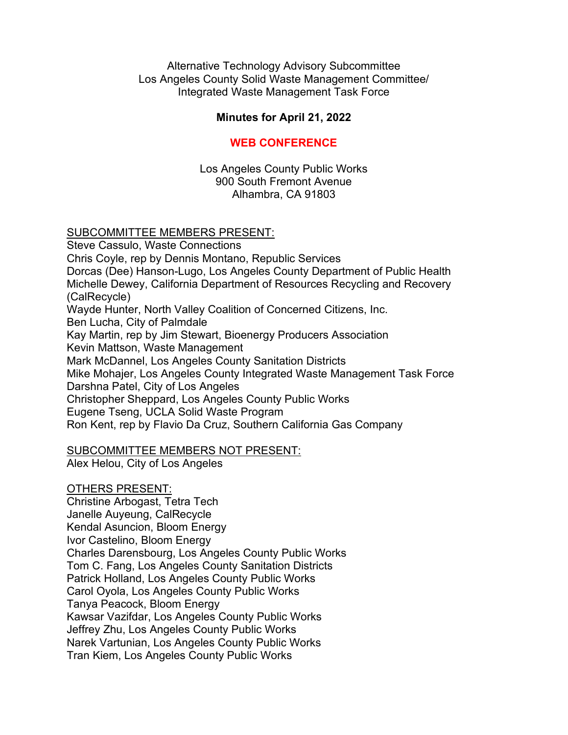Alternative Technology Advisory Subcommittee Los Angeles County Solid Waste Management Committee/ Integrated Waste Management Task Force

## **Minutes for April 21, 2022**

#### **WEB CONFERENCE**

Los Angeles County Public Works 900 South Fremont Avenue Alhambra, CA 91803

#### SUBCOMMITTEE MEMBERS PRESENT:

Steve Cassulo, Waste Connections Chris Coyle, rep by Dennis Montano, Republic Services Dorcas (Dee) Hanson-Lugo, Los Angeles County Department of Public Health Michelle Dewey, California Department of Resources Recycling and Recovery (CalRecycle) Wayde Hunter, North Valley Coalition of Concerned Citizens, Inc. Ben Lucha, City of Palmdale Kay Martin, rep by Jim Stewart, Bioenergy Producers Association Kevin Mattson, Waste Management Mark McDannel, Los Angeles County Sanitation Districts Mike Mohajer, Los Angeles County Integrated Waste Management Task Force Darshna Patel, City of Los Angeles Christopher Sheppard, Los Angeles County Public Works Eugene Tseng, UCLA Solid Waste Program Ron Kent, rep by Flavio Da Cruz, Southern California Gas Company

## SUBCOMMITTEE MEMBERS NOT PRESENT:

Alex Helou, City of Los Angeles

# OTHERS PRESENT:

Christine Arbogast, Tetra Tech Janelle Auyeung, CalRecycle Kendal Asuncion, Bloom Energy Ivor Castelino, Bloom Energy Charles Darensbourg, Los Angeles County Public Works Tom C. Fang, Los Angeles County Sanitation Districts Patrick Holland, Los Angeles County Public Works Carol Oyola, Los Angeles County Public Works Tanya Peacock, Bloom Energy Kawsar Vazifdar, Los Angeles County Public Works Jeffrey Zhu, Los Angeles County Public Works Narek Vartunian, Los Angeles County Public Works Tran Kiem, Los Angeles County Public Works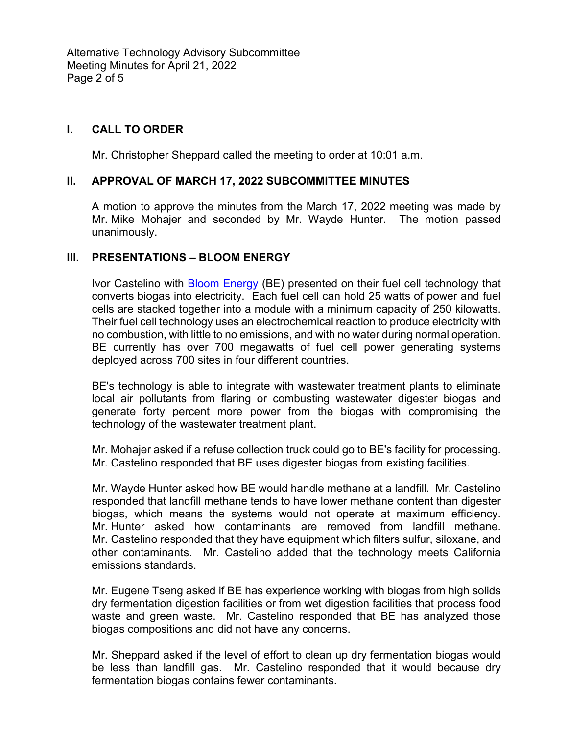Alternative Technology Advisory Subcommittee Meeting Minutes for April 21, 2022 Page 2 of 5

## **I. CALL TO ORDER**

Mr. Christopher Sheppard called the meeting to order at 10:01 a.m.

#### **II. APPROVAL OF MARCH 17, 2022 SUBCOMMITTEE MINUTES**

A motion to approve the minutes from the March 17, 2022 meeting was made by Mr. Mike Mohajer and seconded by Mr. Wayde Hunter. The motion passed unanimously.

#### **III. PRESENTATIONS – BLOOM ENERGY**

Ivor Castelino with **Bloom Energy (BE)** presented on their fuel cell technology that converts biogas into electricity. Each fuel cell can hold 25 watts of power and fuel cells are stacked together into a module with a minimum capacity of 250 kilowatts. Their fuel cell technology uses an electrochemical reaction to produce electricity with no combustion, with little to no emissions, and with no water during normal operation. BE currently has over 700 megawatts of fuel cell power generating systems deployed across 700 sites in four different countries.

BE's technology is able to integrate with wastewater treatment plants to eliminate local air pollutants from flaring or combusting wastewater digester biogas and generate forty percent more power from the biogas with compromising the technology of the wastewater treatment plant.

Mr. Mohajer asked if a refuse collection truck could go to BE's facility for processing. Mr. Castelino responded that BE uses digester biogas from existing facilities.

Mr. Wayde Hunter asked how BE would handle methane at a landfill. Mr. Castelino responded that landfill methane tends to have lower methane content than digester biogas, which means the systems would not operate at maximum efficiency. Mr. Hunter asked how contaminants are removed from landfill methane. Mr. Castelino responded that they have equipment which filters sulfur, siloxane, and other contaminants. Mr. Castelino added that the technology meets California emissions standards.

Mr. Eugene Tseng asked if BE has experience working with biogas from high solids dry fermentation digestion facilities or from wet digestion facilities that process food waste and green waste. Mr. Castelino responded that BE has analyzed those biogas compositions and did not have any concerns.

Mr. Sheppard asked if the level of effort to clean up dry fermentation biogas would be less than landfill gas. Mr. Castelino responded that it would because dry fermentation biogas contains fewer contaminants.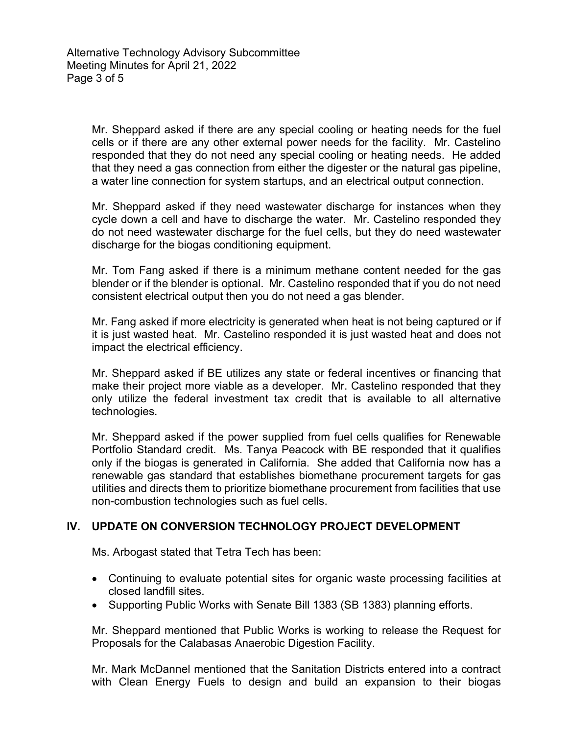Mr. Sheppard asked if there are any special cooling or heating needs for the fuel cells or if there are any other external power needs for the facility. Mr. Castelino responded that they do not need any special cooling or heating needs. He added that they need a gas connection from either the digester or the natural gas pipeline, a water line connection for system startups, and an electrical output connection.

Mr. Sheppard asked if they need wastewater discharge for instances when they cycle down a cell and have to discharge the water. Mr. Castelino responded they do not need wastewater discharge for the fuel cells, but they do need wastewater discharge for the biogas conditioning equipment.

Mr. Tom Fang asked if there is a minimum methane content needed for the gas blender or if the blender is optional. Mr. Castelino responded that if you do not need consistent electrical output then you do not need a gas blender.

Mr. Fang asked if more electricity is generated when heat is not being captured or if it is just wasted heat. Mr. Castelino responded it is just wasted heat and does not impact the electrical efficiency.

Mr. Sheppard asked if BE utilizes any state or federal incentives or financing that make their project more viable as a developer. Mr. Castelino responded that they only utilize the federal investment tax credit that is available to all alternative technologies.

Mr. Sheppard asked if the power supplied from fuel cells qualifies for Renewable Portfolio Standard credit. Ms. Tanya Peacock with BE responded that it qualifies only if the biogas is generated in California. She added that California now has a renewable gas standard that establishes biomethane procurement targets for gas utilities and directs them to prioritize biomethane procurement from facilities that use non-combustion technologies such as fuel cells.

## **IV. UPDATE ON CONVERSION TECHNOLOGY PROJECT DEVELOPMENT**

Ms. Arbogast stated that Tetra Tech has been:

- Continuing to evaluate potential sites for organic waste processing facilities at closed landfill sites.
- Supporting Public Works with Senate Bill 1383 (SB 1383) planning efforts.

Mr. Sheppard mentioned that Public Works is working to release the Request for Proposals for the Calabasas Anaerobic Digestion Facility.

Mr. Mark McDannel mentioned that the Sanitation Districts entered into a contract with Clean Energy Fuels to design and build an expansion to their biogas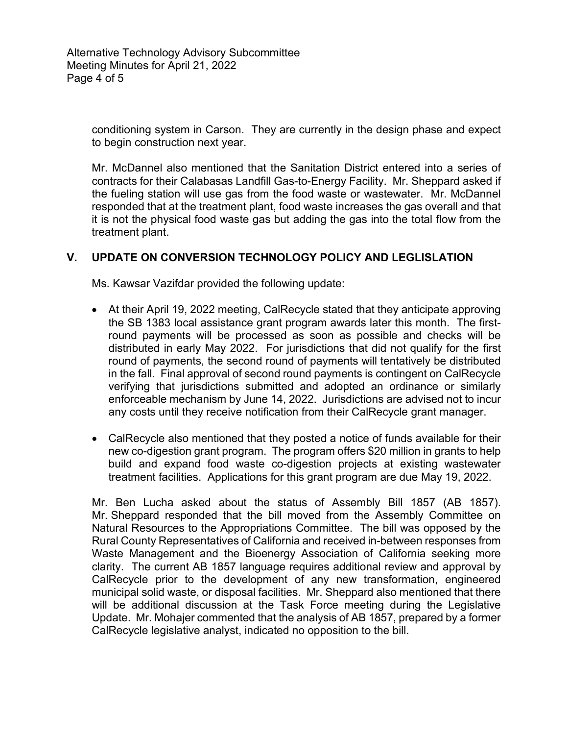conditioning system in Carson. They are currently in the design phase and expect to begin construction next year.

Mr. McDannel also mentioned that the Sanitation District entered into a series of contracts for their Calabasas Landfill Gas-to-Energy Facility. Mr. Sheppard asked if the fueling station will use gas from the food waste or wastewater. Mr. McDannel responded that at the treatment plant, food waste increases the gas overall and that it is not the physical food waste gas but adding the gas into the total flow from the treatment plant.

## **V. UPDATE ON CONVERSION TECHNOLOGY POLICY AND LEGLISLATION**

Ms. Kawsar Vazifdar provided the following update:

- At their April 19, 2022 meeting, CalRecycle stated that they anticipate approving the SB 1383 local assistance grant program awards later this month. The firstround payments will be processed as soon as possible and checks will be distributed in early May 2022. For jurisdictions that did not qualify for the first round of payments, the second round of payments will tentatively be distributed in the fall. Final approval of second round payments is contingent on CalRecycle verifying that jurisdictions submitted and adopted an ordinance or similarly enforceable mechanism by June 14, 2022. Jurisdictions are advised not to incur any costs until they receive notification from their CalRecycle grant manager.
- CalRecycle also mentioned that they posted a notice of funds available for their new co-digestion grant program. The program offers \$20 million in grants to help build and expand food waste co-digestion projects at existing wastewater treatment facilities. Applications for this grant program are due May 19, 2022.

Mr. Ben Lucha asked about the status of Assembly Bill 1857 (AB 1857). Mr. Sheppard responded that the bill moved from the Assembly Committee on Natural Resources to the Appropriations Committee. The bill was opposed by the Rural County Representatives of California and received in-between responses from Waste Management and the Bioenergy Association of California seeking more clarity. The current AB 1857 language requires additional review and approval by CalRecycle prior to the development of any new transformation, engineered municipal solid waste, or disposal facilities. Mr. Sheppard also mentioned that there will be additional discussion at the Task Force meeting during the Legislative Update. Mr. Mohajer commented that the analysis of AB 1857, prepared by a former CalRecycle legislative analyst, indicated no opposition to the bill.